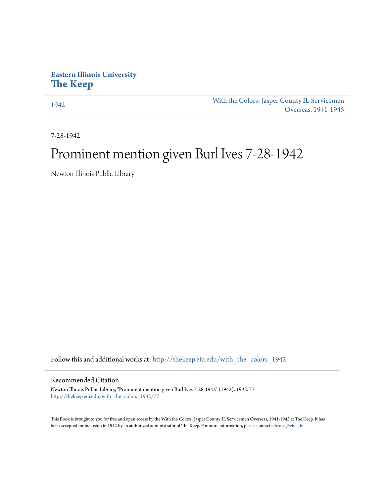## **Eastern Illinois University [The Keep](http://thekeep.eiu.edu?utm_source=thekeep.eiu.edu%2Fwith_the_colors_1942%2F77&utm_medium=PDF&utm_campaign=PDFCoverPages)**

[1942](http://thekeep.eiu.edu/with_the_colors_1942?utm_source=thekeep.eiu.edu%2Fwith_the_colors_1942%2F77&utm_medium=PDF&utm_campaign=PDFCoverPages) [With the Colors: Jasper County IL Servicemen](http://thekeep.eiu.edu/with_the_colors?utm_source=thekeep.eiu.edu%2Fwith_the_colors_1942%2F77&utm_medium=PDF&utm_campaign=PDFCoverPages) [Overseas, 1941-1945](http://thekeep.eiu.edu/with_the_colors?utm_source=thekeep.eiu.edu%2Fwith_the_colors_1942%2F77&utm_medium=PDF&utm_campaign=PDFCoverPages)

7-28-1942

## Prominent mention given Burl Ives 7-28-1942

Newton Illinois Public Library

Follow this and additional works at: [http://thekeep.eiu.edu/with\\_the\\_colors\\_1942](http://thekeep.eiu.edu/with_the_colors_1942?utm_source=thekeep.eiu.edu%2Fwith_the_colors_1942%2F77&utm_medium=PDF&utm_campaign=PDFCoverPages)

## Recommended Citation

Newton Illinois Public Library, "Prominent mention given Burl Ives 7-28-1942" (1942). *1942*. 77. [http://thekeep.eiu.edu/with\\_the\\_colors\\_1942/77](http://thekeep.eiu.edu/with_the_colors_1942/77?utm_source=thekeep.eiu.edu%2Fwith_the_colors_1942%2F77&utm_medium=PDF&utm_campaign=PDFCoverPages)

This Book is brought to you for free and open access by the With the Colors: Jasper County IL Servicemen Overseas, 1941-1945 at The Keep. It has been accepted for inclusion in 1942 by an authorized administrator of The Keep. For more information, please contact [tabruns@eiu.edu](mailto:tabruns@eiu.edu).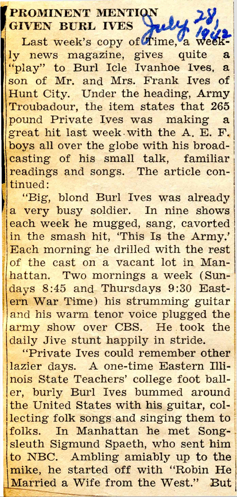## PROMINENT MENTI GIVEN BURL IVES

Last week's copy of Hime, a weekly news magazine, gives quite a "play" to Burl Icle Ivanhoe Ives, a son of Mr. and Mrs. Frank Ives of Hunt City. Under the heading, Army Troubadour, the item states that 265 pound Private Ives was making a great hit last week with the A. E. F. boys all over the globe with his broadcasting of his small talk, familiar readings and songs. The article continued:

"Big, blond Burl Ives was already a very busy soldier. In nine shows each week he mugged, sang, cavorted in the smash hit, 'This Is the Army.' Each morning he drilled with the rest of the cast on a vacant lot in Manhattan. Two mornings a week (Sundays 8:45 and Thursdays 9:30 Eastern War Time) his strumming guitar and his warm tenor voice plugged the army show over CBS. He took the daily Jive stunt happily in stride.

"Private Ives could remember other lazier days. A one-time Eastern Illinois State Teachers' college foot bailer, burly Burl Ives bummed around the United States with his guitar, collecting folk songs and singing them to folks. In Manhattan he met Songsleuth Sigmund Spaeth, who sent him to NBC. Ambling amiably up to the mike, he started off with "Robin He Married a Wife from the West." But